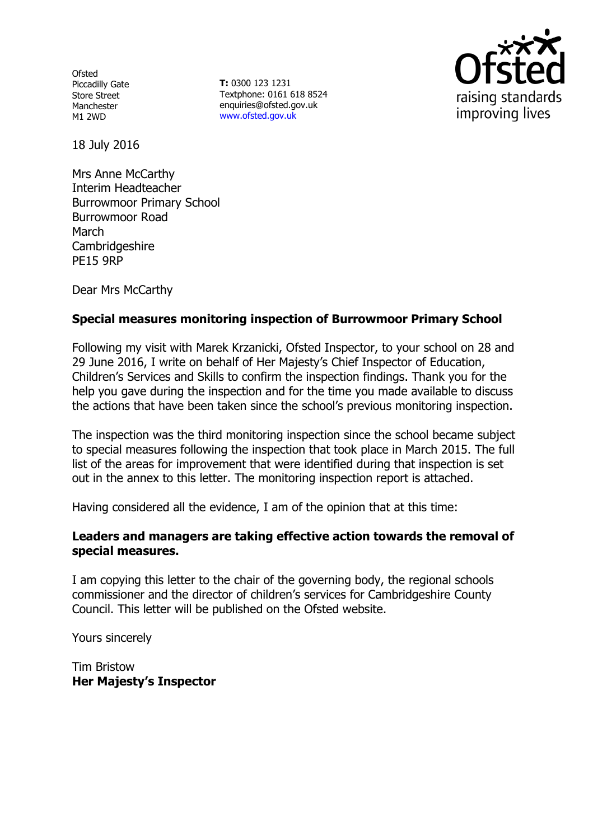**Ofsted** Piccadilly Gate Store Street Manchester M1 2WD

**T:** 0300 123 1231 Textphone: 0161 618 8524 enquiries@ofsted.gov.uk www.ofsted.gov.uk



18 July 2016

Mrs Anne McCarthy Interim Headteacher Burrowmoor Primary School Burrowmoor Road March Cambridgeshire PE15 9RP

Dear Mrs McCarthy

## **Special measures monitoring inspection of Burrowmoor Primary School**

Following my visit with Marek Krzanicki, Ofsted Inspector, to your school on 28 and 29 June 2016, I write on behalf of Her Majesty's Chief Inspector of Education, Children's Services and Skills to confirm the inspection findings. Thank you for the help you gave during the inspection and for the time you made available to discuss the actions that have been taken since the school's previous monitoring inspection.

The inspection was the third monitoring inspection since the school became subject to special measures following the inspection that took place in March 2015. The full list of the areas for improvement that were identified during that inspection is set out in the annex to this letter. The monitoring inspection report is attached.

Having considered all the evidence, I am of the opinion that at this time:

### **Leaders and managers are taking effective action towards the removal of special measures.**

I am copying this letter to the chair of the governing body, the regional schools commissioner and the director of children's services for Cambridgeshire County Council. This letter will be published on the Ofsted website.

Yours sincerely

Tim Bristow **Her Majesty's Inspector**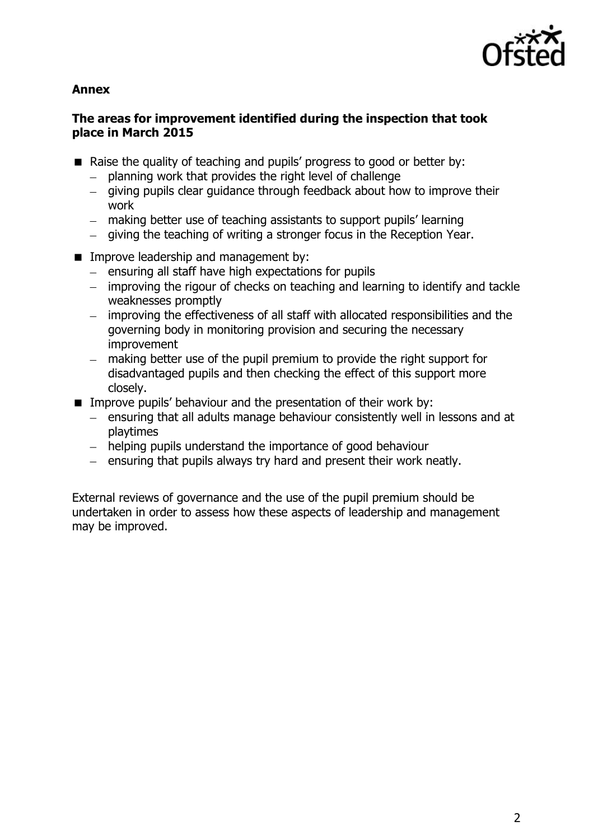

## **Annex**

## **The areas for improvement identified during the inspection that took place in March 2015**

- Raise the quality of teaching and pupils' progress to good or better by:
	- planning work that provides the right level of challenge
	- giving pupils clear guidance through feedback about how to improve their work
	- making better use of teaching assistants to support pupils' learning
	- $-$  giving the teaching of writing a stronger focus in the Reception Year.
- **IMPROVE LEADERSHIP AND MANAGEMENT DISTURIES** 
	- $-$  ensuring all staff have high expectations for pupils
	- improving the rigour of checks on teaching and learning to identify and tackle weaknesses promptly
	- improving the effectiveness of all staff with allocated responsibilities and the governing body in monitoring provision and securing the necessary improvement
	- making better use of the pupil premium to provide the right support for  $\overline{\phantom{0}}$ disadvantaged pupils and then checking the effect of this support more closely.
- **IMPROVE PUPILS' behaviour and the presentation of their work by:** 
	- ensuring that all adults manage behaviour consistently well in lessons and at playtimes
	- helping pupils understand the importance of good behaviour
	- $\overline{a}$  ensuring that pupils always try hard and present their work neatly.

External reviews of governance and the use of the pupil premium should be undertaken in order to assess how these aspects of leadership and management may be improved.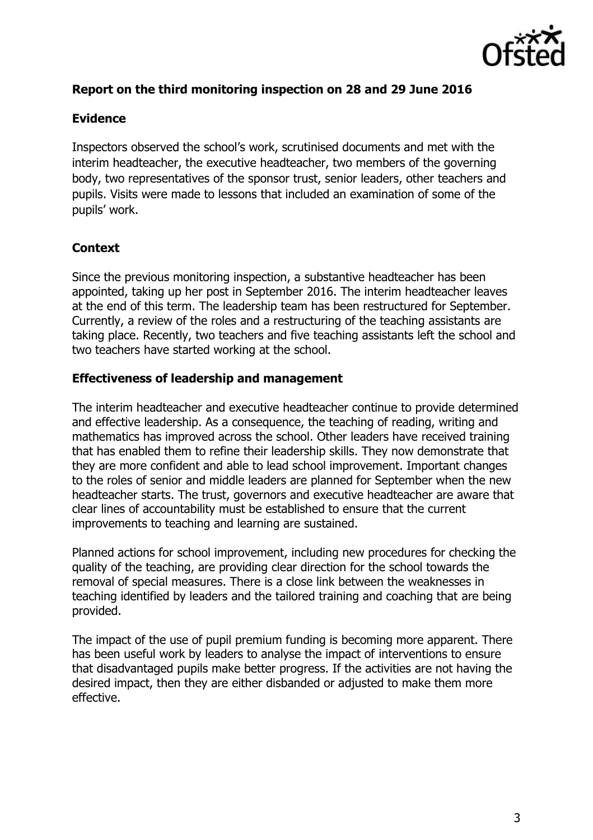

# **Report on the third monitoring inspection on 28 and 29 June 2016**

#### **Evidence**

Inspectors observed the school's work, scrutinised documents and met with the interim headteacher, the executive headteacher, two members of the governing body, two representatives of the sponsor trust, senior leaders, other teachers and pupils. Visits were made to lessons that included an examination of some of the pupils' work.

## **Context**

Since the previous monitoring inspection, a substantive headteacher has been appointed, taking up her post in September 2016. The interim headteacher leaves at the end of this term. The leadership team has been restructured for September. Currently, a review of the roles and a restructuring of the teaching assistants are taking place. Recently, two teachers and five teaching assistants left the school and two teachers have started working at the school.

#### **Effectiveness of leadership and management**

The interim headteacher and executive headteacher continue to provide determined and effective leadership. As a consequence, the teaching of reading, writing and mathematics has improved across the school. Other leaders have received training that has enabled them to refine their leadership skills. They now demonstrate that they are more confident and able to lead school improvement. Important changes to the roles of senior and middle leaders are planned for September when the new headteacher starts. The trust, governors and executive headteacher are aware that clear lines of accountability must be established to ensure that the current improvements to teaching and learning are sustained.

Planned actions for school improvement, including new procedures for checking the quality of the teaching, are providing clear direction for the school towards the removal of special measures. There is a close link between the weaknesses in teaching identified by leaders and the tailored training and coaching that are being provided.

The impact of the use of pupil premium funding is becoming more apparent. There has been useful work by leaders to analyse the impact of interventions to ensure that disadvantaged pupils make better progress. If the activities are not having the desired impact, then they are either disbanded or adjusted to make them more effective.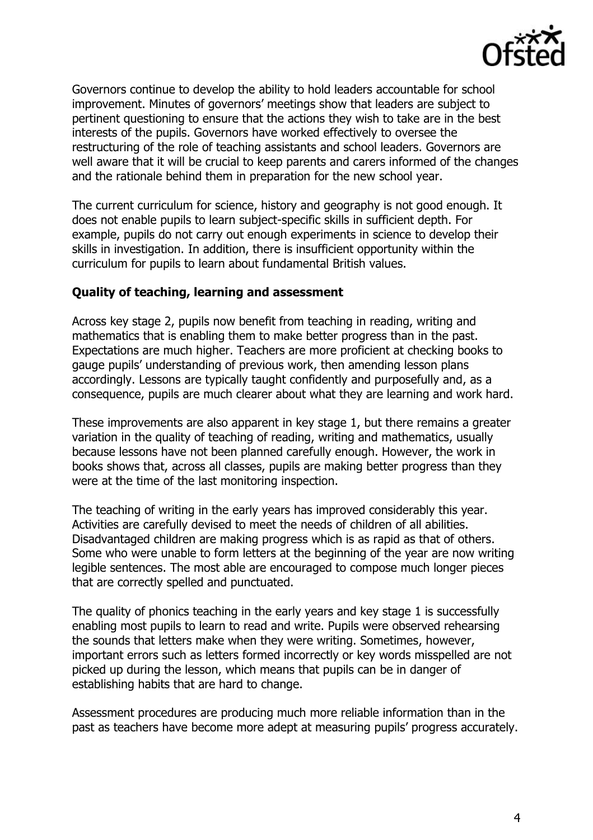

Governors continue to develop the ability to hold leaders accountable for school improvement. Minutes of governors' meetings show that leaders are subject to pertinent questioning to ensure that the actions they wish to take are in the best interests of the pupils. Governors have worked effectively to oversee the restructuring of the role of teaching assistants and school leaders. Governors are well aware that it will be crucial to keep parents and carers informed of the changes and the rationale behind them in preparation for the new school year.

The current curriculum for science, history and geography is not good enough. It does not enable pupils to learn subject-specific skills in sufficient depth. For example, pupils do not carry out enough experiments in science to develop their skills in investigation. In addition, there is insufficient opportunity within the curriculum for pupils to learn about fundamental British values.

### **Quality of teaching, learning and assessment**

Across key stage 2, pupils now benefit from teaching in reading, writing and mathematics that is enabling them to make better progress than in the past. Expectations are much higher. Teachers are more proficient at checking books to gauge pupils' understanding of previous work, then amending lesson plans accordingly. Lessons are typically taught confidently and purposefully and, as a consequence, pupils are much clearer about what they are learning and work hard.

These improvements are also apparent in key stage 1, but there remains a greater variation in the quality of teaching of reading, writing and mathematics, usually because lessons have not been planned carefully enough. However, the work in books shows that, across all classes, pupils are making better progress than they were at the time of the last monitoring inspection.

The teaching of writing in the early years has improved considerably this year. Activities are carefully devised to meet the needs of children of all abilities. Disadvantaged children are making progress which is as rapid as that of others. Some who were unable to form letters at the beginning of the year are now writing legible sentences. The most able are encouraged to compose much longer pieces that are correctly spelled and punctuated.

The quality of phonics teaching in the early years and key stage 1 is successfully enabling most pupils to learn to read and write. Pupils were observed rehearsing the sounds that letters make when they were writing. Sometimes, however, important errors such as letters formed incorrectly or key words misspelled are not picked up during the lesson, which means that pupils can be in danger of establishing habits that are hard to change.

Assessment procedures are producing much more reliable information than in the past as teachers have become more adept at measuring pupils' progress accurately.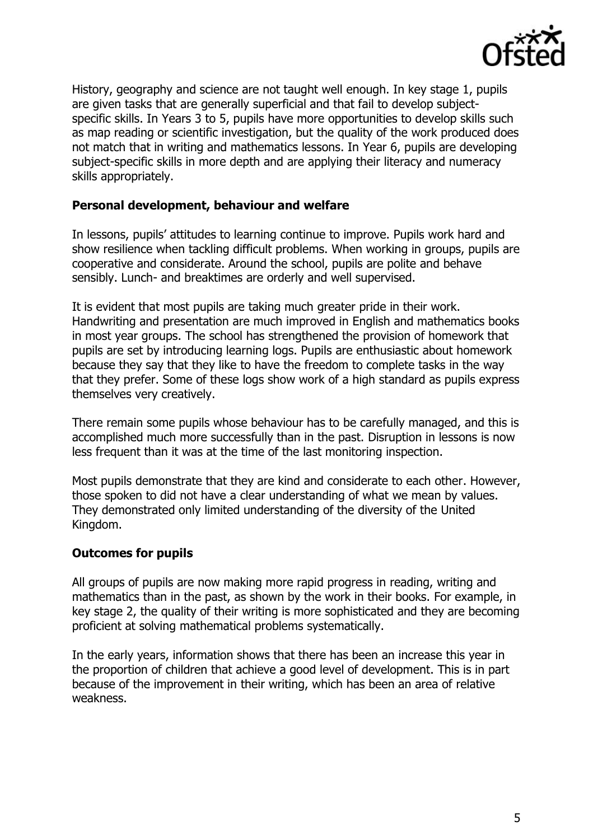

History, geography and science are not taught well enough. In key stage 1, pupils are given tasks that are generally superficial and that fail to develop subjectspecific skills. In Years 3 to 5, pupils have more opportunities to develop skills such as map reading or scientific investigation, but the quality of the work produced does not match that in writing and mathematics lessons. In Year 6, pupils are developing subject-specific skills in more depth and are applying their literacy and numeracy skills appropriately.

#### **Personal development, behaviour and welfare**

In lessons, pupils' attitudes to learning continue to improve. Pupils work hard and show resilience when tackling difficult problems. When working in groups, pupils are cooperative and considerate. Around the school, pupils are polite and behave sensibly. Lunch- and breaktimes are orderly and well supervised.

It is evident that most pupils are taking much greater pride in their work. Handwriting and presentation are much improved in English and mathematics books in most year groups. The school has strengthened the provision of homework that pupils are set by introducing learning logs. Pupils are enthusiastic about homework because they say that they like to have the freedom to complete tasks in the way that they prefer. Some of these logs show work of a high standard as pupils express themselves very creatively.

There remain some pupils whose behaviour has to be carefully managed, and this is accomplished much more successfully than in the past. Disruption in lessons is now less frequent than it was at the time of the last monitoring inspection.

Most pupils demonstrate that they are kind and considerate to each other. However, those spoken to did not have a clear understanding of what we mean by values. They demonstrated only limited understanding of the diversity of the United Kingdom.

### **Outcomes for pupils**

All groups of pupils are now making more rapid progress in reading, writing and mathematics than in the past, as shown by the work in their books. For example, in key stage 2, the quality of their writing is more sophisticated and they are becoming proficient at solving mathematical problems systematically.

In the early years, information shows that there has been an increase this year in the proportion of children that achieve a good level of development. This is in part because of the improvement in their writing, which has been an area of relative weakness.